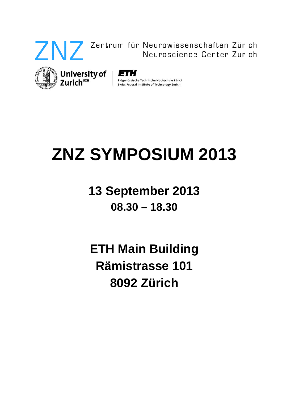

## Zentrum für Neurowissenschaften Zürich Neuroscience Center Zurich



Eidgenössische Technische Hochschule Zürich

Swiss Federal Institute of Technology Zurich

# **ZNZ SYMPOSIUM 2013**

# **13 September 2013 08.30 – 18.30**

# **ETH Main Building Rämistrasse 101 8092 Zürich**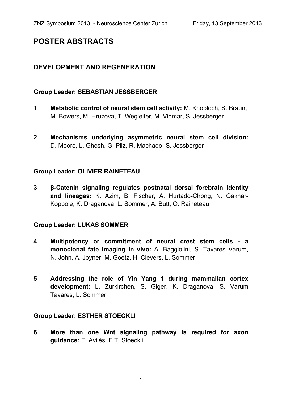### **POSTER ABSTRACTS**

#### **DEVELOPMENT AND REGENERATION**

#### **Group Leader: SEBASTIAN JESSBERGER**

- **1 Metabolic control of neural stem cell activity:** M. Knobloch, S. Braun, M. Bowers, M. Hruzova, T. Wegleiter, M. Vidmar, S. Jessberger
- **2 Mechanisms underlying asymmetric neural stem cell division:** D. Moore, L. Ghosh, G. Pilz, R. Machado, S. Jessberger

#### **Group Leader: OLIVIER RAINETEAU**

**3 β-Catenin signaling regulates postnatal dorsal forebrain identity and lineages:** K. Azim, B. Fischer, A. Hurtado-Chong, N. Gakhar-Koppole, K. Draganova, L. Sommer, A. Butt, O. Raineteau

#### **Group Leader: LUKAS SOMMER**

- **4 Multipotency or commitment of neural crest stem cells a monoclonal fate imaging in vivo:** A. Baggiolini, S. Tavares Varum, N. John, A. Joyner, M. Goetz, H. Clevers, L. Sommer
- **5 Addressing the role of Yin Yang 1 during mammalian cortex development:** L. Zurkirchen, S. Giger, K. Draganova, S. Varum Tavares, L. Sommer

#### **Group Leader: ESTHER STOECKLI**

**6 More than one Wnt signaling pathway is required for axon guidance:** E. Avilés, E.T. Stoeckli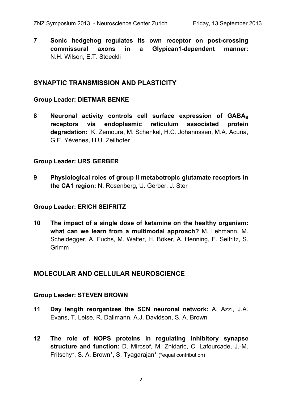**7 Sonic hedgehog regulates its own receptor on post-crossing commissural axons in a Glypican1-dependent manner:**  N.H. Wilson, E.T. Stoeckli

#### **SYNAPTIC TRANSMISSION AND PLASTICITY**

#### **Group Leader: DIETMAR BENKE**

8 Neuronal activity controls cell surface expression of GABA<sub>B</sub> **receptors via endoplasmic reticulum associated protein degradation:** K. Zemoura, M. Schenkel, H.C. Johannssen, M.A. Acuña, G.E. Yévenes, H.U. Zeilhofer

#### **Group Leader: URS GERBER**

**9 Physiological roles of group II metabotropic glutamate receptors in the CA1 region:** N. Rosenberg, U. Gerber, J. Ster

#### **Group Leader: ERICH SEIFRITZ**

**10 The impact of a single dose of ketamine on the healthy organism: what can we learn from a multimodal approach?** M. Lehmann, M. Scheidegger, A. Fuchs, M. Walter, H. Böker, A. Henning, E. Seifritz, S. **Grimm** 

#### **MOLECULAR AND CELLULAR NEUROSCIENCE**

#### **Group Leader: STEVEN BROWN**

- **11 Day length reorganizes the SCN neuronal network:** A. Azzi, J.A. Evans, T. Leise, R. Dallmann, A.J. Davidson, S. A. Brown
- **12 The role of NOPS proteins in regulating inhibitory synapse structure and function:** D. Mircsof, M. Znidaric, C. Lafourcade, J.-M. Fritschy\*, S. A. Brown\*, S. Tyagarajan\* (\*equal contribution)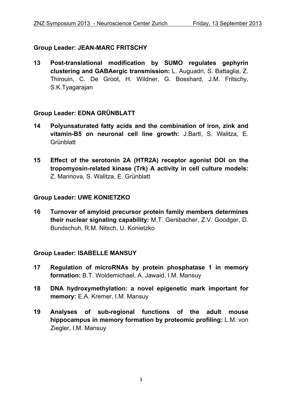#### **Group Leader: JEAN-MARC FRITSCHY**

**13 Post-translational modification by SUMO regulates gephyrin clustering and GABAergic transmission:** L. Auguadri, S. Battaglia, Z. Thirouin, C. De Groot, H. Wildner, G. Bosshard, J.M. Fritschy, S.K.Tyagarajan

#### **Group Leader: EDNA GRÜNBLATT**

- **14 Polyunsaturated fatty acids and the combination of iron, zink and vitamin-B5 on neuronal cell line growth:** J.Bartl, S. Walitza, E. **Grünblatt**
- **15 Effect of the serotonin 2A (HTR2A) receptor agonist DOI on the tropomyosin-related kinase (Trk) A activity in cell culture models:**  Z. Marinova, S. Walitza, E. Grünblatt

#### **Group Leader: UWE KONIETZKO**

**16 Turnover of amyloid precursor protein family members determines their nuclear signaling capability:** M.T. Gersbacher, Z.V. Goodger, D. Bundschuh, R.M. Nitsch, U. Konietzko

#### **Group Leader: ISABELLE MANSUY**

- **17 Regulation of microRNAs by protein phosphatase 1 in memory formation:** B.T. Woldemichael, A. Jawaid, I.M. Mansuy
- **18 DNA hydroxymethylation: a novel epigenetic mark important for memory:** E.A. Kremer, I.M. Mansuy
- **19 Analyses of sub-regional functions of the adult mouse hippocampus in memory formation by proteomic profiling:** L.M. von Ziegler, I.M. Mansuy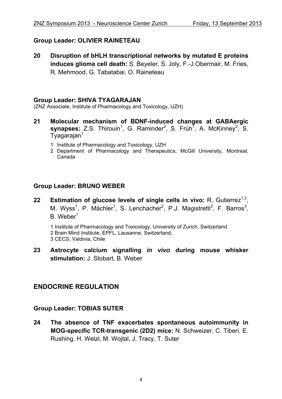#### **Group Leader: OLIVIER RAINETEAU**

**20 Disruption of bHLH transcriptional networks by mutated E proteins induces glioma cell death:** S. Beyeler, S. Joly, F.-J.Obermair, M. Fries, R. Mehmood, G. Tabatabai, O. Raineteau

#### **Group Leader: SHIVA TYAGARAJAN**

(ZNZ Associate, Institute of Pharmacology and Toxicology, UZH)

- **21 Molecular mechanism of BDNF-induced changes at GABAergic**  synapses: Z.S. Thirouin<sup>1</sup>, G. Raminder<sup>2</sup>, S. Früh<sup>7</sup>, A. McKinney<sup>2</sup>, S. Tyagarajan<sup>1</sup>
	- 1 Institute of Pharmacology and Toxicology, UZH
	- 2 Department of Pharmacology and Therapeutics, McGill University, Montreal, Canada

#### **Group Leader: BRUNO WEBER**

**22 Estimation of glucose levels of single cells in vivo:** R. Gutierrez<sup>1,3</sup>, M. Wyss<sup>1</sup>, P. Mächler<sup>1</sup>, S. Lenchacher<sup>2</sup>, P.J. Magistretti<sup>2</sup>, F. Barros<sup>3</sup>, B. Weber1

1 Institute of Pharmacology and Toxicology, University of Zurich, Switzerland 2 Brain Mind Institute, EPFL, Lausanne, Switzerland; 3 CECS, Valdivia, Chile

**23 Astrocyte calcium signalling** *in vivo* **during mouse whisker stimulation:** J. Stobart, B. Weber

#### **ENDOCRINE REGULATION**

#### **Group Leader: TOBIAS SUTER**

**24 The absence of TNF exacerbates spontaneous autoimmunity in MOG-specific TCR-transgenic (2D2) mice:** N. Schweizer, C. Tiberi, E. Rushing, H. Welzl, M. Wojtal, J. Tracy, T. Suter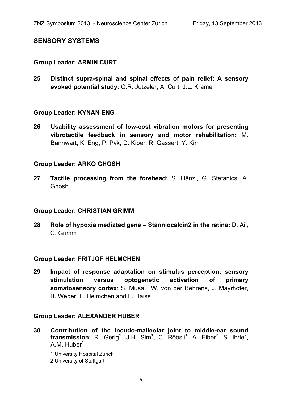#### **SENSORY SYSTEMS**

#### **Group Leader: ARMIN CURT**

**25 Distinct supra-spinal and spinal effects of pain relief: A sensory evoked potential study:** C.R. Jutzeler, A. Curt, J.L. Kramer

#### **Group Leader: KYNAN ENG**

**26 Usability assessment of low-cost vibration motors for presenting vibrotactile feedback in sensory and motor rehabilitation:** M. Bannwart, K. Eng, P. Pyk, D. Kiper, R. Gassert, Y. Kim

#### **Group Leader: ARKO GHOSH**

**27 Tactile processing from the forehead:** S. Hänzi, G. Stefanics, A. Ghosh

#### **Group Leader: CHRISTIAN GRIMM**

**28 Role of hypoxia mediated gene – Stanniocalcin2 in the retina:** D. Ail, C. Grimm

#### **Group Leader: FRITJOF HELMCHEN**

**29 Impact of response adaptation on stimulus perception: sensory stimulation versus optogenetic activation of primary somatosensory cortex**: S. Musall, W. von der Behrens, J. Mayrhofer, B. Weber, F. Helmchen and F. Haiss

#### **Group Leader: ALEXANDER HUBER**

**30 Contribution of the incudo-malleolar joint to middle-ear sound**  transmission: R. Gerig<sup>1</sup>, J.H. Sim<sup>1</sup>, C. Röösli<sup>1</sup>, A. Eiber<sup>2</sup>, S. Ihrle<sup>2</sup>, A.M. Huber $1$ 

1 University Hospital Zurich 2 University of Stuttgart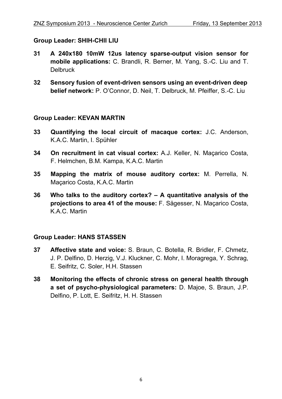#### **Group Leader: SHIH-CHII LIU**

- **31 A 240x180 10mW 12us latency sparse-output vision sensor for mobile applications:** C. Brandli, R. Berner, M. Yang, S.-C. Liu and T. **Delbruck**
- **32 Sensory fusion of event-driven sensors using an event-driven deep belief network:** P. O'Connor, D. Neil, T. Delbruck, M. Pfeiffer, S.-C. Liu

#### **Group Leader: KEVAN MARTIN**

- **33 Quantifying the local circuit of macaque cortex:** J.C. Anderson, K.A.C. Martin, I. Spühler
- **34 On recruitment in cat visual cortex:** A.J. Keller, N. Maçarico Costa, F. Helmchen, B.M. Kampa, K.A.C. Martin
- **35 Mapping the matrix of mouse auditory cortex:** M. Perrella, N. Maçarico Costa, K.A.C. Martin
- **36 Who talks to the auditory cortex? A quantitative analysis of the projections to area 41 of the mouse:** F. Sägesser, N. Maçarico Costa, K.A.C. Martin

#### **Group Leader: HANS STASSEN**

- **37 Affective state and voice:** S. Braun, C. Botella, R. Bridler, F. Chmetz, J. P. Delfino, D. Herzig, V.J. Kluckner, C. Mohr, I. Moragrega, Y. Schrag, E. Seifritz, C. Soler, H.H. Stassen
- **38 Monitoring the effects of chronic stress on general health through a set of psycho-physiological parameters:** D. Majoe, S. Braun, J.P. Delfino, P. Lott, E. Seifritz, H. H. Stassen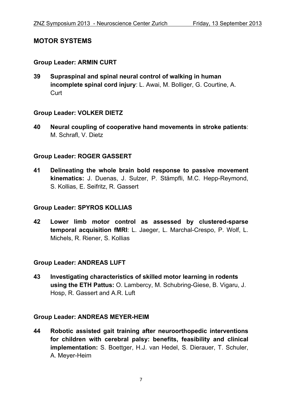#### **MOTOR SYSTEMS**

#### **Group Leader: ARMIN CURT**

**39 Supraspinal and spinal neural control of walking in human incomplete spinal cord injury**: L. Awai, M. Bolliger, G. Courtine, A. **Curt** 

#### **Group Leader: VOLKER DIETZ**

**40 Neural coupling of cooperative hand movements in stroke patients**: M. Schrafl, V. Dietz

#### **Group Leader: ROGER GASSERT**

**41 Delineating the whole brain bold response to passive movement kinematics:** J. Duenas, J. Sulzer, P. Stämpfli, M.C. Hepp-Reymond, S. Kollias, E. Seifritz, R. Gassert

#### **Group Leader: SPYROS KOLLIAS**

**42 Lower limb motor control as assessed by clustered-sparse temporal acquisition fMRI**: L. Jaeger, L. Marchal-Crespo, P. Wolf, L. Michels, R. Riener, S. Kollias

#### **Group Leader: ANDREAS LUFT**

**43 Investigating characteristics of skilled motor learning in rodents using the ETH Pattus:** O. Lambercy, M. Schubring-Giese, B. Vigaru, J. Hosp, R. Gassert and A.R. Luft

#### **Group Leader: ANDREAS MEYER-HEIM**

**44 Robotic assisted gait training after neuroorthopedic interventions for children with cerebral palsy: benefits, feasibility and clinical implementation:** S. Boettger, H.J. van Hedel, S. Dierauer, T. Schuler, A. Meyer-Heim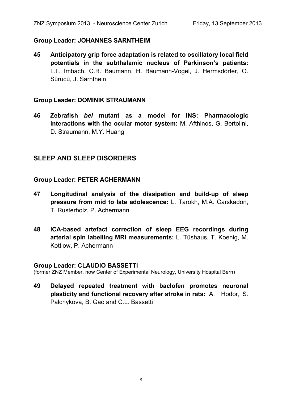#### **Group Leader: JOHANNES SARNTHEIM**

**45 Anticipatory grip force adaptation is related to oscillatory local field potentials in the subthalamic nucleus of Parkinson's patients:** L.L. Imbach, C.R. Baumann, H. Baumann-Vogel, J. Hermsdörfer, O. Sürücü, J. Sarnthein

#### **Group Leader: DOMINIK STRAUMANN**

**46 Zebrafish** *bel* **mutant as a model for INS: Pharmacologic interactions with the ocular motor system:** M. Afthinos, G. Bertolini, D. Straumann, M.Y. Huang

#### **SLEEP AND SLEEP DISORDERS**

#### **Group Leader: PETER ACHERMANN**

- **47 Longitudinal analysis of the dissipation and build-up of sleep pressure from mid to late adolescence:** L. Tarokh, M.A. Carskadon, T. Rusterholz, P. Achermann
- **48 ICA-based artefact correction of sleep EEG recordings during arterial spin labelling MRI measurements:** L. Tüshaus, T. Koenig, M. Kottlow, P. Achermann

#### **Group Leader: CLAUDIO BASSETTI**

(former ZNZ Member, now Center of Experimental Neurology, University Hospital Bern)

**49 Delayed repeated treatment with baclofen promotes neuronal plasticity and functional recovery after stroke in rats:** A. Hodor, S. Palchykova, B. Gao and C.L. Bassetti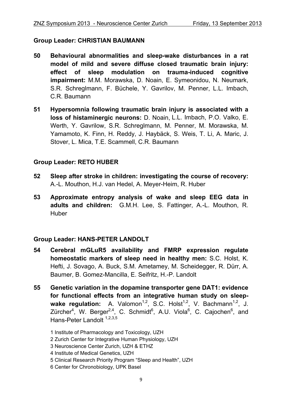#### **Group Leader: CHRISTIAN BAUMANN**

- **50 Behavioural abnormalities and sleep-wake disturbances in a rat model of mild and severe diffuse closed traumatic brain injury: effect of sleep modulation on trauma-induced cognitive impairment:** M.M. Morawska, D. Noain, E. Symeonidou, N. Neumark, S.R. Schreglmann, F. Büchele, Y. Gavrilov, M. Penner, L.L. Imbach, C.R. Baumann
- **51 Hypersomnia following traumatic brain injury is associated with a loss of histaminergic neurons:** D. Noain, L.L. Imbach, P.O. Valko, E. Werth, Y. Gavrilow, S.R. Schreglmann, M. Penner, M. Morawska, M. Yamamoto, K. Finn, H. Reddy, J. Haybäck, S. Weis, T. Li, A. Maric, J. Stover, L. Mica, T.E. Scammell, C.R. Baumann

#### **Group Leader: RETO HUBER**

- **52 Sleep after stroke in children: investigating the course of recovery:** A.-L. Mouthon, H.J. van Hedel, A. Meyer-Heim, R. Huber
- **53 Approximate entropy analysis of wake and sleep EEG data in adults and children:** G.M.H. Lee, S. Fattinger, A.-L. Mouthon, R. Huber

#### **Group Leader: HANS-PETER LANDOLT**

- **54 Cerebral mGLuR5 availability and FMRP expression regulate homeostatic markers of sleep need in healthy men:** S.C. Holst, K. Hefti, J. Sovago, A. Buck, S.M. Ametamey, M. Scheidegger, R. Dürr, A. Baumer, B. Gomez-Mancilla, E. Seifritz, H.-P. Landolt
- **55 Genetic variation in the dopamine transporter gene DAT1: evidence for functional effects from an integrative human study on sleep**wake regulation: A. Valomon<sup>1,2</sup>, S.C. Holst<sup>1,2</sup>, V. Bachmann<sup>1,2</sup>, J. Zürcher<sup>4</sup>, W. Berger<sup>2,4</sup>, C. Schmidt<sup>6</sup>, A.U. Viola<sup>6</sup>, C. Cajochen<sup>6</sup>, and Hans-Peter Landolt  $1,2,3,5$

1 Institute of Pharmacology and Toxicology, UZH

- 2 Zurich Center for Integrative Human Physiology, UZH
- 3 Neuroscience Center Zurich, UZH & ETHZ
- 4 Institute of Medical Genetics, UZH
- 5 Clinical Research Priority Program "Sleep and Health", UZH
- 6 Center for Chronobiology, UPK Basel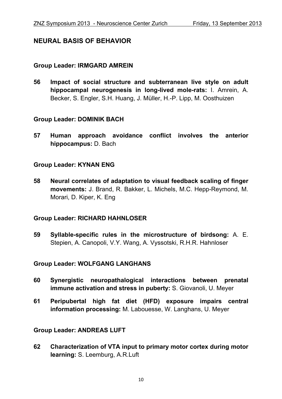#### **NEURAL BASIS OF BEHAVIOR**

#### **Group Leader: IRMGARD AMREIN**

**56 Impact of social structure and subterranean live style on adult hippocampal neurogenesis in long-lived mole-rats:** I. Amrein, A. Becker, S. Engler, S.H. Huang, J. Müller, H.-P. Lipp, M. Oosthuizen

#### **Group Leader: DOMINIK BACH**

**57 Human approach avoidance conflict involves the anterior hippocampus:** D. Bach

#### **Group Leader: KYNAN ENG**

**58 Neural correlates of adaptation to visual feedback scaling of finger movements:** J. Brand, R. Bakker, L. Michels, M.C. Hepp-Reymond, M. Morari, D. Kiper, K. Eng

#### **Group Leader: RICHARD HAHNLOSER**

**59 Syllable-specific rules in the microstructure of birdsong:** A. E. Stepien, A. Canopoli, V.Y. Wang, A. Vyssotski, R.H.R. Hahnloser

#### **Group Leader: WOLFGANG LANGHANS**

- **60 Synergistic neuropathalogical interactions between prenatal immune activation and stress in puberty:** S. Giovanoli, U. Meyer
- **61 Peripubertal high fat diet (HFD) exposure impairs central information processing:** M. Labouesse, W. Langhans, U. Meyer

#### **Group Leader: ANDREAS LUFT**

**62 Characterization of VTA input to primary motor cortex during motor learning:** S. Leemburg, A.R.Luft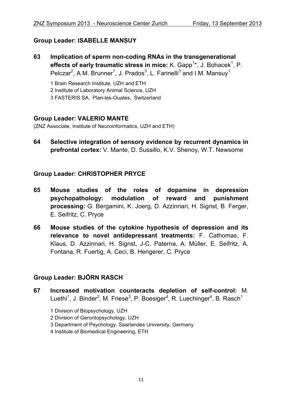#### **Group Leader: ISABELLE MANSUY**

**63 Implication of sperm non-coding RNAs in the transgenerational**  effects of early traumatic stress in mice: K. Gapp<sup>1\*</sup>, J. Bohacek<sup>1</sup>, P. Pelczar<sup>2</sup>, A.M. Brunner<sup>1</sup>, J. Prados<sup>3</sup>, L. Farinelli<sup>3</sup> and I.M. Mansuy<sup>1</sup>

1 Brain Research Institute, UZH and ETH

2 Institute of Laboratory Animal Science, UZH

3 FASTERIS SA, Plan-les-Ouates, Switzerland

#### **Group Leader: VALERIO MANTE**

(ZNZ Associate, Institute of Neuroinformatics, UZH and ETH)

**64 Selective integration of sensory evidence by recurrent dynamics in prefrontal cortex:** V. Mante, D. Sussillo, K.V. Shenoy, W.T. Newsome

#### **Group Leader: CHRISTOPHER PRYCE**

- **65 Mouse studies of the roles of dopamine in depression psychopathology: modulation of reward and punishment processing:** G. Bergamini, K. Joerg, D. Azzinnari, H. Sigrist, B. Ferger, E. Seifritz, C. Pryce
- **66 Mouse studies of the cytokine hypothesis of depression and its relevance to novel antidepressant treatments:** F. Cathomas, F. Klaus, D. Azzinnari, H. Sigrist, J-C. Paterna, A. Müller, E. Seifritz, A. Fontana, R. Fuertig, A. Ceci, B. Hengerer, C. Pryce

#### **Group Leader: BJÖRN RASCH**

- **67 Increased motivation counteracts depletion of self-control:** M. Luethi<sup>1</sup>, J. Binder<sup>2</sup>, M. Friese<sup>3</sup>, P. Boesiger<sup>4</sup>, R. Luechinger<sup>4</sup>, B. Rasch<sup>1</sup>
	- 1 Division of Biopsychology, UZH
	- 2 Division of Gerontopsychology, UZH
	- 3 Department of Psychology, Saarlandes University, Germany
	- 4 Institute of Biomedical Engineering, ETH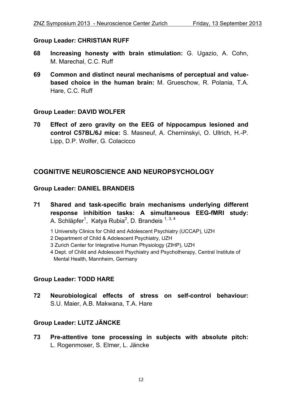#### **Group Leader: CHRISTIAN RUFF**

- **68 Increasing honesty with brain stimulation:** G. Ugazio, A. Cohn, M. Marechal, C.C. Ruff
- **69 Common and distinct neural mechanisms of perceptual and valuebased choice in the human brain:** M. Grueschow, R. Polania, T.A. Hare, C.C. Ruff

#### **Group Leader: DAVID WOLFER**

**70 Effect of zero gravity on the EEG of hippocampus lesioned and control C57BL/6J mice:** S. Masneuf, A. Cherninskyi, O. Ullrich, H.-P. Lipp, D.P. Wolfer, G. Colacicco

#### **COGNITIVE NEUROSCIENCE AND NEUROPSYCHOLOGY**

#### **Group Leader: DANIEL BRANDEIS**

- **71 Shared and task-specific brain mechanisms underlying different response inhibition tasks: A simultaneous EEG-fMRI study:**  A. Schläpfer<sup>1</sup>, Katya Rubia<sup>2</sup>, D. Brandeis<sup>1, 3, 4</sup>
	- 1 University Clinics for Child and Adolescent Psychiatry (UCCAP), UZH
	- 2 Department of Child & Adolescent Psychiatry, UZH
	- 3 Zurich Center for Integrative Human Physiology (ZIHP), UZH
	- 4 Dept. of Child and Adolescent Psychiatry and Psychotherapy, Central Institute of Mental Health, Mannheim, Germany

#### **Group Leader: TODD HARE**

**72 Neurobiological effects of stress on self-control behaviour:** S.U. Maier, A.B. Makwana, T.A. Hare

#### **Group Leader: LUTZ JÄNCKE**

**73 Pre-attentive tone processing in subjects with absolute pitch:** L. Rogenmoser, S. Elmer, L. Jäncke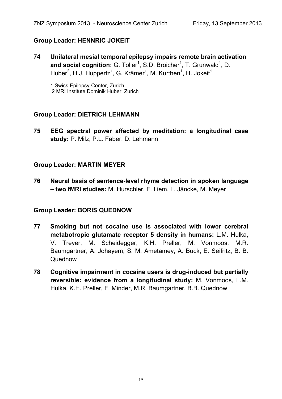#### **Group Leader: HENNRIC JOKEIT**

**74 Unilateral mesial temporal epilepsy impairs remote brain activation**  and social cognition: G. Toller<sup>1</sup>, S.D. Broicher<sup>1</sup>, T. Grunwald<sup>1</sup>, D. Huber<sup>2</sup>, H.J. Huppertz<sup>1</sup>, G. Krämer<sup>1</sup>, M. Kurthen<sup>1</sup>, H. Jokeit<sup>1</sup>

1 Swiss Epilepsy-Center, Zurich 2 MRI Institute Dominik Huber, Zurich

#### **Group Leader: DIETRICH LEHMANN**

**75 EEG spectral power affected by meditation: a longitudinal case study:** P. Milz, P.L. Faber, D. Lehmann

#### **Group Leader: MARTIN MEYER**

**76 Neural basis of sentence-level rhyme detection in spoken language – two fMRI studies:** M. Hurschler, F. Liem, L. Jäncke, M. Meyer

#### **Group Leader: BORIS QUEDNOW**

- **77 Smoking but not cocaine use is associated with lower cerebral metabotropic glutamate receptor 5 density in humans:** L.M. Hulka, V. Treyer, M. Scheidegger, K.H. Preller, M. Vonmoos, M.R. Baumgartner, A. Johayem, S. M. Ametamey, A. Buck, E. Seifritz, B. B. Quednow
- **78 Cognitive impairment in cocaine users is drug-induced but partially reversible: evidence from a longitudinal study:** M. Vonmoos, L.M. Hulka, K.H. Preller, F. Minder, M.R. Baumgartner, B.B. Quednow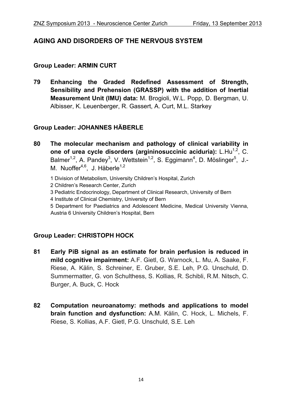#### **AGING AND DISORDERS OF THE NERVOUS SYSTEM**

#### **Group Leader: ARMIN CURT**

**79 Enhancing the Graded Redefined Assessment of Strength, Sensibility and Prehension (GRASSP) with the addition of Inertial Measurement Unit (IMU) data:** M. Brogioli, W.L. Popp, D. Bergman, U. Albisser, K. Leuenberger, R. Gassert, A. Curt, M.L. Starkey

#### **Group Leader: JOHANNES HÄBERLE**

- **80 The molecular mechanism and pathology of clinical variability in one of urea cycle disorders (argininosuccinic aciduria):** L.Hu<sup>1,2</sup>, C. Balmer<sup>1,2</sup>, A. Pandey<sup>3</sup>, V. Wettstein<sup>1,2</sup>, S. Eggimann<sup>4</sup>, D. Möslinger<sup>5</sup>, J.-M. Nuoffer $4,6$ , J. Häberle $1,2$ 
	- 1 Division of Metabolism, University Children's Hospital, Zurich
	- 2 Children's Research Center, Zurich
	- 3 Pediatric Endocrinology, Department of Clinical Research, University of Bern
	- 4 Institute of Clinical Chemistry, University of Bern
	- 5 Department for Paediatrics and Adolescent Medicine, Medical University Vienna, Austria 6 University Children's Hospital, Bern

#### **Group Leader: CHRISTOPH HOCK**

- **81 Early PiB signal as an estimate for brain perfusion is reduced in mild cognitive impairment:** A.F. Gietl, G. Warnock, L. Mu, A. Saake, F. Riese, A. Kälin, S. Schreiner, E. Gruber, S.E. Leh, P.G. Unschuld, D. Summermatter, G. von Schulthess, S. Kollias, R. Schibli, R.M. Nitsch, C. Burger, A. Buck, C. Hock
- **82 Computation neuroanatomy: methods and applications to model brain function and dysfunction:** A.M. Kälin, C. Hock, L. Michels, F. Riese, S. Kollias, A.F. Gietl, P.G. Unschuld, S.E. Leh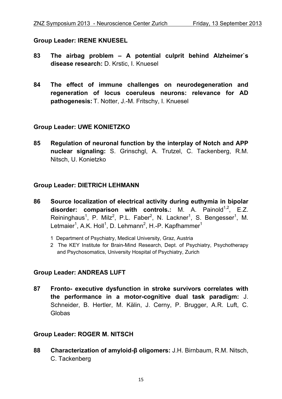#### **Group Leader: IRENE KNUESEL**

- **83 The airbag problem A potential culprit behind Alzheimer`s disease research:** D. Krstic, I. Knuesel
- **84 The effect of immune challenges on neurodegeneration and regeneration of locus coeruleus neurons: relevance for AD pathogenesis:** T. Notter, J.-M. Fritschy, I. Knuesel

#### **Group Leader: UWE KONIETZKO**

**85 Regulation of neuronal function by the interplay of Notch and APP nuclear signaling:** S. Grinschgl, A. Trutzel, C. Tackenberg, R.M. Nitsch, U. Konietzko

#### **Group Leader: DIETRICH LEHMANN**

- **86 Source localization of electrical activity during euthymia in bipolar**  disorder: comparison with controls.: M. A. Painold<sup>1,2</sup>, E.Z. Reininghaus<sup>1</sup>, P. Milz<sup>2</sup>, P.L. Faber<sup>2</sup>, N. Lackner<sup>1</sup>, S. Bengesser<sup>1</sup>, M. Letmaier<sup>1</sup>, A.K. Holl<sup>1</sup>, D. Lehmann<sup>2</sup>, H.-P. Kapfhammer<sup>1</sup>
	- 1 Department of Psychiatry, Medical University, Graz, Austria
	- 2 The KEY Institute for Brain-Mind Research, Dept. of Psychiatry, Psychotherapy and Psychosomatics, University Hospital of Psychiatry, Zurich

#### **Group Leader: ANDREAS LUFT**

**87 Fronto- executive dysfunction in stroke survivors correlates with the performance in a motor-cognitive dual task paradigm:** J. Schneider, B. Hertler, M. Kälin, J. Cerny, P. Brugger, A.R. Luft, C. Globas

#### **Group Leader: ROGER M. NITSCH**

**88 Characterization of amyloid-β oligomers:** J.H. Birnbaum, R.M. Nitsch, C. Tackenberg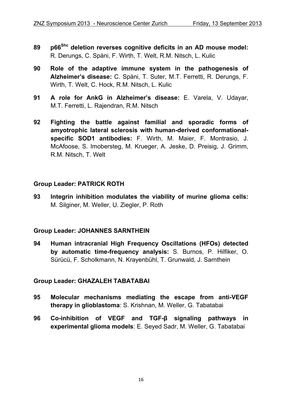- **89 p66Shc deletion reverses cognitive deficits in an AD mouse model:**  R. Derungs, C. Späni, F. Wirth, T. Welt, R.M. Nitsch, L. Kulic
- **90 Role of the adaptive immune system in the pathogenesis of Alzheimer's disease:** C. Späni, T. Suter, M.T. Ferretti, R. Derungs, F. Wirth, T. Welt, C. Hock, R.M. Nitsch, L. Kulic
- **91 A role for AnkG in Alzheimer's disease:** E. Varela, V. Udayar, M.T. Ferretti, L. Rajendran, R.M. Nitsch
- **92 Fighting the battle against familial and sporadic forms of amyotrophic lateral sclerosis with human-derived conformationalspecific SOD1 antibodies:** F. Wirth, M. Maier, F. Montrasio, J. McAfoose, S. Imobersteg, M. Krueger, A. Jeske, D. Preisig, J. Grimm, R.M. Nitsch, T. Welt

#### **Group Leader: PATRICK ROTH**

**93 Integrin inhibition modulates the viability of murine glioma cells:**  M. Silginer, M. Weller, U. Ziegler, P. Roth

#### **Group Leader: JOHANNES SARNTHEIN**

**94 Human intracranial High Frequency Oscillations (HFOs) detected by automatic time-frequency analysis:** S. Burnos, P. Hilfiker, O. Sürücü, F. Scholkmann, N. Krayenbühl, T. Grunwald, J. Sarnthein

#### **Group Leader: GHAZALEH TABATABAI**

- **95 Molecular mechanisms mediating the escape from anti-VEGF therapy in glioblastoma**: S. Krishnan, M. Weller, G. Tabatabai
- **96 Co-inhibition of VEGF and TGF-β signaling pathways in experimental glioma models**: E. Seyed Sadr, M. Weller, G. Tabatabai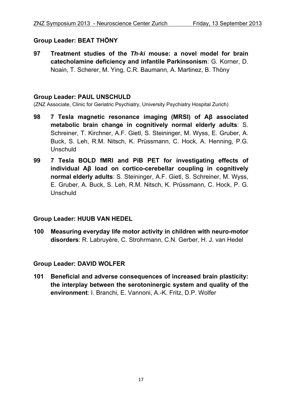#### **Group Leader: BEAT THÖNY**

**97 Treatment studies of the** *Th-ki* **mouse: a novel model for brain catecholamine deficiency and infantile Parkinsonism**: G. Korner, D. Noain, T. Scherer, M. Ying, C.R. Baumann, A. Martinez, B. Thöny

#### **Group Leader: PAUL UNSCHULD**

(ZNZ Associate, Clinic for Geriatric Psychiatry, University Psychiatry Hospital Zurich)

- **98 7 Tesla magnetic resonance imaging (MRSI) of Aβ associated metabolic brain change in cognitively normal elderly adults**: S. Schreiner, T. Kirchner, A.F. Gietl, S. Steininger, M. Wyss, E. Gruber, A. Buck, S. Leh, R.M. Nitsch, K. Prüssmann, C. Hock, A. Henning, P.G. Unschuld
- **99 7 Tesla BOLD fMRI and PiB PET for investigating effects of individual Aβ load on cortico-cerebellar coupling in cognitively normal elderly adults**: S. Steininger, A.F. Gietl, S. Schreiner, M. Wyss, E. Gruber, A. Buck, S. Leh, R.M. Nitsch, K. Prüssmann, C. Hock, P. G. Unschuld

#### **Group Leader: HUUB VAN HEDEL**

**100 Measuring everyday life motor activity in children with neuro-motor disorders**: R. Labruyère, C. Strohrmann, C.N. Gerber, H. J. van Hedel

#### **Group Leader: DAVID WOLFER**

**101 Beneficial and adverse consequences of increased brain plasticity: the interplay between the serotoninergic system and quality of the environment**: I. Branchi, E. Vannoni, A.-K. Fritz, D.P. Wolfer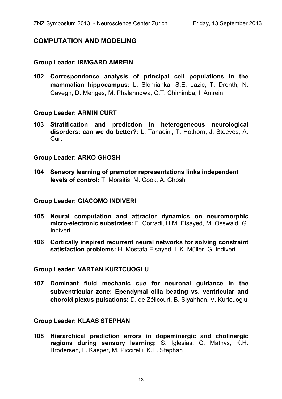#### **COMPUTATION AND MODELING**

#### **Group Leader: IRMGARD AMREIN**

**102 Correspondence analysis of principal cell populations in the mammalian hippocampus:** L. Slomianka, S.E. Lazic, T. Drenth, N. Cavegn, D. Menges, M. Phalanndwa, C.T. Chimimba, I. Amrein

#### **Group Leader: ARMIN CURT**

**103 Stratification and prediction in heterogeneous neurological disorders: can we do better?:** L. Tanadini, T. Hothorn, J. Steeves, A. Curt

#### **Group Leader: ARKO GHOSH**

**104 Sensory learning of premotor representations links independent levels of control:** T. Moraitis, M. Cook, A. Ghosh

#### **Group Leader: GIACOMO INDIVERI**

- **105 Neural computation and attractor dynamics on neuromorphic micro-electronic substrates:** F. Corradi, H.M. Elsayed, M. Osswald, G. Indiveri
- **106 Cortically inspired recurrent neural networks for solving constraint satisfaction problems:** H. Mostafa Elsayed, L.K. Müller, G. Indiveri

#### **Group Leader: VARTAN KURTCUOGLU**

**107 Dominant fluid mechanic cue for neuronal guidance in the subventricular zone: Ependymal cilia beating vs. ventricular and choroid plexus pulsations:** D. de Zélicourt, B. Siyahhan, V. Kurtcuoglu

#### **Group Leader: KLAAS STEPHAN**

**108 Hierarchical prediction errors in dopaminergic and cholinergic regions during sensory learning:** S. Iglesias, C. Mathys, K.H. Brodersen, L. Kasper, M. Piccirelli, K.E. Stephan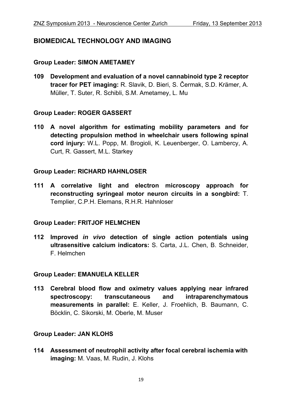#### **BIOMEDICAL TECHNOLOGY AND IMAGING**

#### **Group Leader: SIMON AMETAMEY**

**109 Development and evaluation of a novel cannabinoid type 2 receptor tracer for PET imaging:** R. Slavik, D. Bieri, S. Čermak, S.D. Krämer, A. Müller, T. Suter, R. Schibli, S.M. Ametamey, L. Mu

#### **Group Leader: ROGER GASSERT**

**110 A novel algorithm for estimating mobility parameters and for detecting propulsion method in wheelchair users following spinal cord injury:** W.L. Popp, M. Brogioli, K. Leuenberger, O. Lambercy, A. Curt, R. Gassert, M.L. Starkey

#### **Group Leader: RICHARD HAHNLOSER**

**111 A correlative light and electron microscopy approach for reconstructing syringeal motor neuron circuits in a songbird:** T. Templier, C.P.H. Elemans, R.H.R. Hahnloser

#### **Group Leader: FRITJOF HELMCHEN**

**112 Improved** *in vivo* **detection of single action potentials using ultrasensitive calcium indicators:** S. Carta, J.L. Chen, B. Schneider, F. Helmchen

#### **Group Leader: EMANUELA KELLER**

**113 Cerebral blood flow and oximetry values applying near infrared spectroscopy: transcutaneous and intraparenchymatous measurements in parallel:** E. Keller, J. Froehlich, B. Baumann, C. Böcklin, C. Sikorski, M. Oberle, M. Muser

#### **Group Leader: JAN KLOHS**

**114 Assessment of neutrophil activity after focal cerebral ischemia with imaging:** M. Vaas, M. Rudin, J. Klohs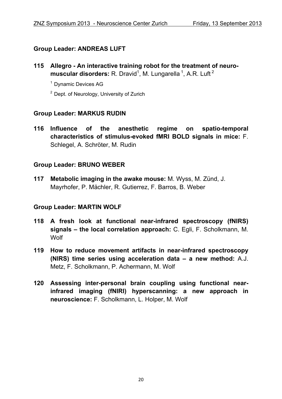#### **Group Leader: ANDREAS LUFT**

- **115 Allegro An interactive training robot for the treatment of neuro**muscular disorders: R. Dravid<sup>1</sup>, M. Lungarella<sup>1</sup>, A.R. Luft<sup>2</sup>
	- 1 Dynamic Devices AG
	- <sup>2</sup> Dept. of Neurology, University of Zurich

#### **Group Leader: MARKUS RUDIN**

**116 Influence of the anesthetic regime on spatio-temporal characteristics of stimulus-evoked fMRI BOLD signals in mice:** F. Schlegel, A. Schröter, M. Rudin

#### **Group Leader: BRUNO WEBER**

**117 Metabolic imaging in the awake mouse:** M. Wyss, M. Zünd, J. Mayrhofer, P. Mächler, R. Gutierrez, F. Barros, B. Weber

#### **Group Leader: MARTIN WOLF**

- **118 A fresh look at functional near-infrared spectroscopy (fNIRS) signals – the local correlation approach:** C. Egli, F. Scholkmann, M. **Wolf**
- **119 How to reduce movement artifacts in near-infrared spectroscopy (NIRS) time series using acceleration data – a new method:** A.J. Metz, F. Scholkmann, P. Achermann, M. Wolf
- **120 Assessing inter-personal brain coupling using functional nearinfrared imaging (fNIRI) hyperscanning: a new approach in neuroscience:** F. Scholkmann, L. Holper, M. Wolf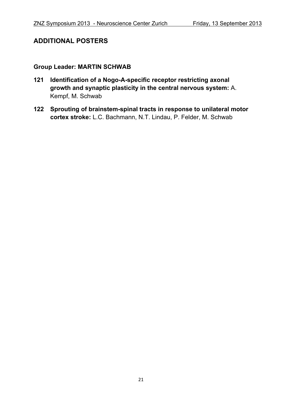#### **ADDITIONAL POSTERS**

#### **Group Leader: MARTIN SCHWAB**

- **121 Identification of a Nogo-A-specific receptor restricting axonal growth and synaptic plasticity in the central nervous system:** A. Kempf, M. Schwab
- **122 Sprouting of brainstem-spinal tracts in response to unilateral motor cortex stroke:** L.C. Bachmann, N.T. Lindau, P. Felder, M. Schwab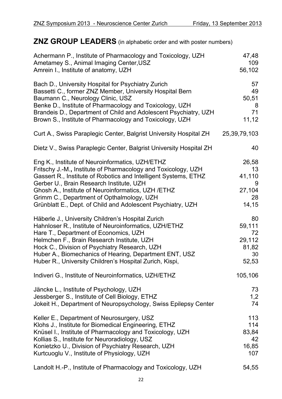### **ZNZ GROUP LEADERS** (in alphabetic order and with poster numbers)

| Achermann P., Institute of Pharmacology and Toxicology, UZH        | 47,48        |
|--------------------------------------------------------------------|--------------|
| Ametamey S., Animal Imaging Center, USZ                            | 109          |
| Amrein I., Institute of anatomy, UZH                               | 56,102       |
| Bach D., University Hospital for Psychiatry Zurich                 | 57           |
| Bassetti C., former ZNZ Member, University Hospital Bern           | 49           |
| Baumann C., Neurology Clinic, USZ                                  | 50,51        |
| Benke D., Institute of Pharmacology and Toxicology, UZH            | 8            |
| Brandeis D., Department of Child and Adolescent Psychiatry, UZH    | 71           |
| Brown S., Institute of Pharmacology and Toxicology, UZH            | 11,12        |
| Curt A., Swiss Paraplegic Center, Balgrist University Hospital ZH  | 25,39,79,103 |
| Dietz V., Swiss Paraplegic Center, Balgrist University Hospital ZH | 40           |
| Eng K., Institute of Neuroinformatics, UZH/ETHZ                    | 26,58        |
| Fritschy J.-M., Institute of Pharmacology and Toxicology, UZH      | 13           |
| Gassert R., Institute of Robotics and Intelligent Systems, ETHZ    | 41,110       |
| Gerber U., Brain Research Institute, UZH                           | 9            |
| Ghosh A., Institute of Neuroinformatics, UZH / ETHZ                | 27,104       |
| Grimm C., Department of Opthalmology, UZH                          | 28           |
| Grünblatt E., Dept. of Child and Adolescent Psychiatry, UZH        | 14,15        |
| Häberle J., University Children's Hospital Zurich                  | 80           |
| Hahnloser R., Institute of Neuroinformatics, UZH/ETHZ              | 59,111       |
| Hare T., Department of Economics, UZH                              | 72           |
| Helmchen F., Brain Research Institute, UZH                         | 29,112       |
| Hock C., Division of Psychiatry Research, UZH                      | 81,82        |
| Huber A., Biomechanics of Hearing, Department ENT, USZ             | 30           |
| Huber R., University Children's Hospital Zurich, Kispi,            | 52,53        |
| Indiveri G., Institute of Neuroinformatics, UZH/ETHZ               | 105,106      |
| Jäncke L., Institute of Psychology, UZH                            | 73           |
| Jessberger S., Institute of Cell Biology, ETHZ                     | 1,2          |
| Jokeit H., Department of Neuropsychology, Swiss Epilepsy Center    | 74           |
| Keller E., Department of Neurosurgery, USZ                         | 113          |
| Klohs J., Institute for Biomedical Engineering, ETHZ               | 114          |
| Knüsel I., Institute of Pharmacology and Toxicology, UZH           | 83,84        |
| Kollias S., Institute for Neuroradiology, USZ                      | 42           |
| Konietzko U., Division of Psychiatry Research, UZH                 | 16,85        |
| Kurtcuoglu V., Institute of Physiology, UZH                        | 107          |
| Landolt H.-P., Institute of Pharmacology and Toxicology, UZH       | 54,55        |